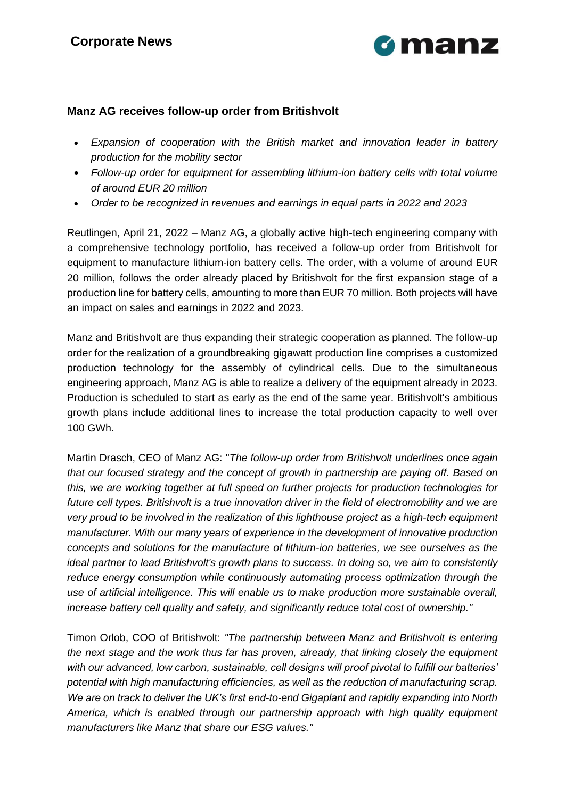

## **Manz AG receives follow-up order from Britishvolt**

- *Expansion of cooperation with the British market and innovation leader in battery production for the mobility sector*
- *Follow-up order for equipment for assembling lithium-ion battery cells with total volume of around EUR 20 million*
- *Order to be recognized in revenues and earnings in equal parts in 2022 and 2023*

Reutlingen, April 21, 2022 – Manz AG, a globally active high-tech engineering company with a comprehensive technology portfolio, has received a follow-up order from Britishvolt for equipment to manufacture lithium-ion battery cells. The order, with a volume of around EUR 20 million, follows the order already placed by Britishvolt for the first expansion stage of a production line for battery cells, amounting to more than EUR 70 million. Both projects will have an impact on sales and earnings in 2022 and 2023.

Manz and Britishvolt are thus expanding their strategic cooperation as planned. The follow-up order for the realization of a groundbreaking gigawatt production line comprises a customized production technology for the assembly of cylindrical cells. Due to the simultaneous engineering approach, Manz AG is able to realize a delivery of the equipment already in 2023. Production is scheduled to start as early as the end of the same year. Britishvolt's ambitious growth plans include additional lines to increase the total production capacity to well over 100 GWh.

Martin Drasch, CEO of Manz AG: "*The follow-up order from Britishvolt underlines once again that our focused strategy and the concept of growth in partnership are paying off. Based on this, we are working together at full speed on further projects for production technologies for future cell types. Britishvolt is a true innovation driver in the field of electromobility and we are very proud to be involved in the realization of this lighthouse project as a high-tech equipment manufacturer. With our many years of experience in the development of innovative production concepts and solutions for the manufacture of lithium-ion batteries, we see ourselves as the ideal partner to lead Britishvolt's growth plans to success. In doing so, we aim to consistently reduce energy consumption while continuously automating process optimization through the use of artificial intelligence. This will enable us to make production more sustainable overall, increase battery cell quality and safety, and significantly reduce total cost of ownership."*

Timon Orlob, COO of Britishvolt: *"The partnership between Manz and Britishvolt is entering the next stage and the work thus far has proven, already, that linking closely the equipment with our advanced, low carbon, sustainable, cell designs will proof pivotal to fulfill our batteries' potential with high manufacturing efficiencies, as well as the reduction of manufacturing scrap. We are on track to deliver the UK's first end-to-end Gigaplant and rapidly expanding into North America, which is enabled through our partnership approach with high quality equipment manufacturers like Manz that share our ESG values."*